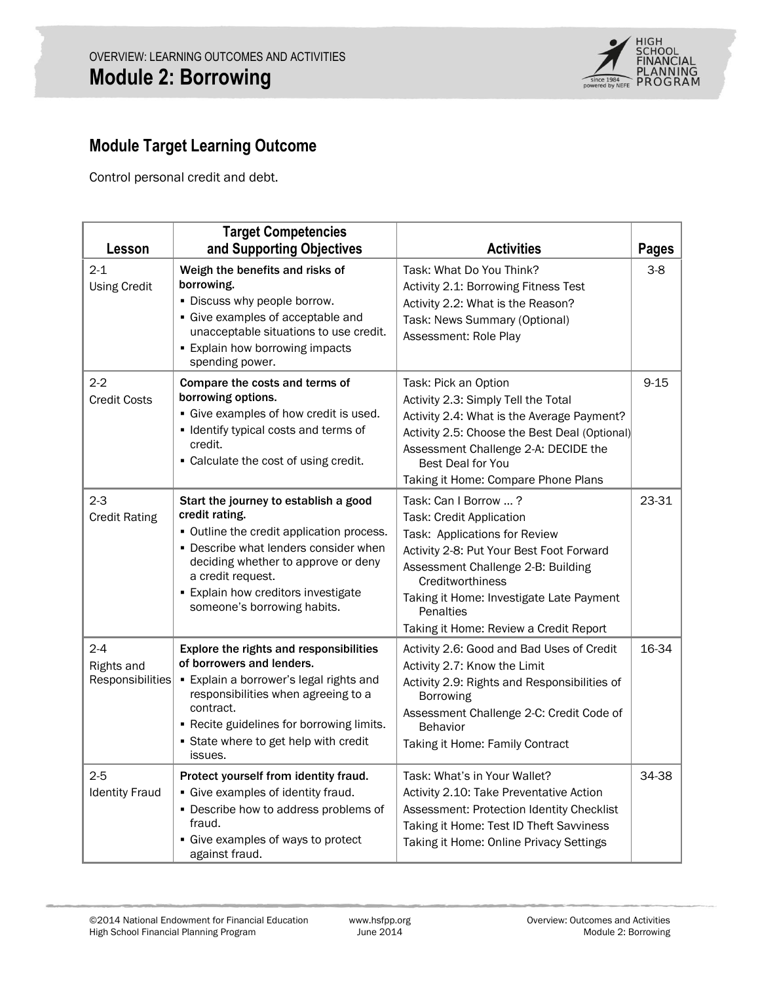

# **Module Target Learning Outcome**

Control personal credit and debt.

| Lesson                                    | <b>Target Competencies</b><br>and Supporting Objectives                                                                                                                                                                                                                              | <b>Activities</b>                                                                                                                                                                                                                                                                          | <b>Pages</b> |
|-------------------------------------------|--------------------------------------------------------------------------------------------------------------------------------------------------------------------------------------------------------------------------------------------------------------------------------------|--------------------------------------------------------------------------------------------------------------------------------------------------------------------------------------------------------------------------------------------------------------------------------------------|--------------|
| $2 - 1$<br><b>Using Credit</b>            | Weigh the benefits and risks of<br>borrowing.<br>. Discuss why people borrow.<br>• Give examples of acceptable and<br>unacceptable situations to use credit.<br><b>Explain how borrowing impacts</b><br>spending power.                                                              | Task: What Do You Think?<br>Activity 2.1: Borrowing Fitness Test<br>Activity 2.2: What is the Reason?<br>Task: News Summary (Optional)<br>Assessment: Role Play                                                                                                                            | $3-8$        |
| $2 - 2$<br><b>Credit Costs</b>            | Compare the costs and terms of<br>borrowing options.<br>• Give examples of how credit is used.<br>• Identify typical costs and terms of<br>credit.<br>• Calculate the cost of using credit.                                                                                          | Task: Pick an Option<br>Activity 2.3: Simply Tell the Total<br>Activity 2.4: What is the Average Payment?<br>Activity 2.5: Choose the Best Deal (Optional)<br>Assessment Challenge 2-A: DECIDE the<br>Best Deal for You<br>Taking it Home: Compare Phone Plans                             | $9 - 15$     |
| $2 - 3$<br><b>Credit Rating</b>           | Start the journey to establish a good<br>credit rating.<br>• Outline the credit application process.<br>• Describe what lenders consider when<br>deciding whether to approve or deny<br>a credit request.<br><b>Explain how creditors investigate</b><br>someone's borrowing habits. | Task: Can I Borrow ?<br>Task: Credit Application<br>Task: Applications for Review<br>Activity 2-8: Put Your Best Foot Forward<br>Assessment Challenge 2-B: Building<br>Creditworthiness<br>Taking it Home: Investigate Late Payment<br>Penalties<br>Taking it Home: Review a Credit Report | 23-31        |
| $2 - 4$<br>Rights and<br>Responsibilities | Explore the rights and responsibilities<br>of borrowers and lenders.<br>• Explain a borrower's legal rights and<br>responsibilities when agreeing to a<br>contract.<br>- Recite guidelines for borrowing limits.<br>• State where to get help with credit<br>issues.                 | Activity 2.6: Good and Bad Uses of Credit<br>Activity 2.7: Know the Limit<br>Activity 2.9: Rights and Responsibilities of<br><b>Borrowing</b><br>Assessment Challenge 2-C: Credit Code of<br><b>Behavior</b><br>Taking it Home: Family Contract                                            | 16-34        |
| $2 - 5$<br><b>Identity Fraud</b>          | Protect yourself from identity fraud.<br>· Give examples of identity fraud.<br>• Describe how to address problems of<br>fraud.<br>• Give examples of ways to protect<br>against fraud.                                                                                               | Task: What's in Your Wallet?<br>Activity 2.10: Take Preventative Action<br>Assessment: Protection Identity Checklist<br>Taking it Home: Test ID Theft Savviness<br>Taking it Home: Online Privacy Settings                                                                                 | 34-38        |